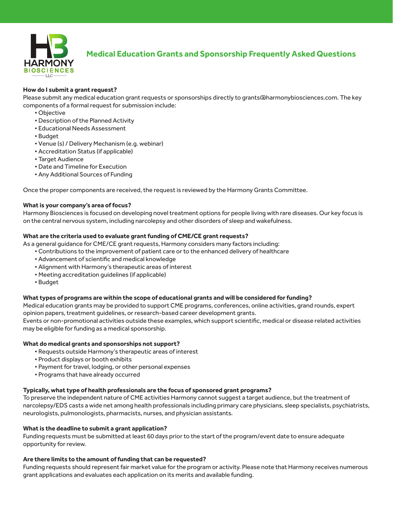

# **Medical Education Grants and Sponsorship Frequently Asked Questions**

## **How do I submit a grant request?**

Please submit any medical education grant requests or sponsorships directly to grants@harmonybiosciences.com. The key components of a formal request for submission include:

- Objective
- Description of the Planned Activity
- Educational Needs Assessment
- Budget
- Venue (s) / Delivery Mechanism (e.g. webinar)
- Accreditation Status (if applicable)
- Target Audience
- Date and Timeline for Execution
- Any Additional Sources of Funding

Once the proper components are received, the request is reviewed by the Harmony Grants Committee.

#### **What is your company's area of focus?**

Harmony Biosciences is focused on developing novel treatment options for people living with rare diseases. Our key focus is on the central nervous system, including narcolepsy and other disorders of sleep and wakefulness.

#### **What are the criteria used to evaluate grant funding of CME/CE grant requests?**

As a general guidance for CME/CE grant requests, Harmony considers many factors including:

- Contributions to the improvement of patient care or to the enhanced delivery of healthcare
- Advancement of scientific and medical knowledge
- Alignment with Harmony's therapeutic areas of interest
- Meeting accreditation guidelines (if applicable)
- Budget

#### **What types of programs are within the scope of educational grants and will be considered for funding?**

Medical education grants may be provided to support CME programs, conferences, online activities, grand rounds, expert opinion papers, treatment guidelines, or research-based career development grants.

Events or non-promotional activities outside these examples, which support scientific, medical or disease related activities may be eligible for funding as a medical sponsorship.

#### **What do medical grants and sponsorships not support?**

- Requests outside Harmony's therapeutic areas of interest
- Product displays or booth exhibits
- Payment for travel, lodging, or other personal expenses
- Programs that have already occurred

## **Typically, what type of health professionals are the focus of sponsored grant programs?**

To preserve the independent nature of CME activities Harmony cannot suggest a target audience, but the treatment of narcolepsy/EDS casts a wide net among health professionals including primary care physicians, sleep specialists, psychiatrists, neurologists, pulmonologists, pharmacists, nurses, and physician assistants.

## **What is the deadline to submit a grant application?**

Funding requests must be submitted at least 60 days prior to the start of the program/event date to ensure adequate opportunity for review.

#### **Are there limits to the amount of funding that can be requested?**

Funding requests should represent fair market value for the program or activity. Please note that Harmony receives numerous grant applications and evaluates each application on its merits and available funding.